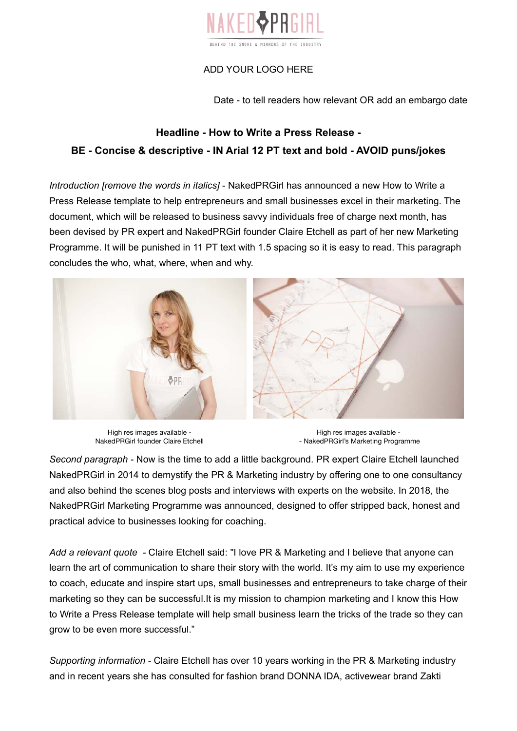

## ADD YOUR LOGO HERE

Date - to tell readers how relevant OR add an embargo date

## **Headline - How to Write a Press Release - BE - Concise & descriptive - IN Arial 12 PT text and bold - AVOID puns/jokes**

*Introduction [remove the words in italics]* - NakedPRGirl has announced a new How to Write a Press Release template to help entrepreneurs and small businesses excel in their marketing. The document, which will be released to business savvy individuals free of charge next month, has been devised by PR expert and NakedPRGirl founder Claire Etchell as part of her new Marketing Programme. It will be punished in 11 PT text with 1.5 spacing so it is easy to read. This paragraph concludes the who, what, where, when and why.



High res images available - NakedPRGirl founder Claire Etchell

High res images available - - NakedPRGirl's Marketing Programme

*Second paragraph -* Now is the time to add a little background. PR expert Claire Etchell launched NakedPRGirl in 2014 to demystify the PR & Marketing industry by offering one to one consultancy and also behind the scenes blog posts and interviews with experts on the website. In 2018, the NakedPRGirl Marketing Programme was announced, designed to offer stripped back, honest and practical advice to businesses looking for coaching.

*Add a relevant quote -* Claire Etchell said: "I love PR & Marketing and I believe that anyone can learn the art of communication to share their story with the world. It's my aim to use my experience to coach, educate and inspire start ups, small businesses and entrepreneurs to take charge of their marketing so they can be successful.It is my mission to champion marketing and I know this How to Write a Press Release template will help small business learn the tricks of the trade so they can grow to be even more successful."

*Supporting information -* Claire Etchell has over 10 years working in the PR & Marketing industry and in recent years she has consulted for fashion brand DONNA IDA, activewear brand Zakti